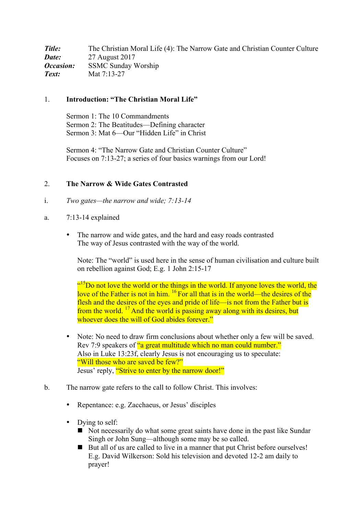**Title:** The Christian Moral Life (4): The Narrow Gate and Christian Counter Culture *Date:* 27 August 2017 *Occasion:* SSMC Sunday Worship *Text:* Mat 7:13-27

## 1. **Introduction: "The Christian Moral Life"**

Sermon 1: The 10 Commandments Sermon 2: The Beatitudes—Defining character Sermon 3: Mat 6—Our "Hidden Life" in Christ

Sermon 4: "The Narrow Gate and Christian Counter Culture" Focuses on 7:13-27; a series of four basics warnings from our Lord!

#### 2. **The Narrow & Wide Gates Contrasted**

- i. *Two gates—the narrow and wide; 7:13-14*
- a. 7:13-14 explained
	- The narrow and wide gates, and the hard and easy roads contrasted The way of Jesus contrasted with the way of the world.

Note: The "world" is used here in the sense of human civilisation and culture built on rebellion against God; E.g. 1 John 2:15-17

<sup>(15</sup>Do not love the world or the things in the world. If anyone loves the world, the love of the Father is not in him. <sup>16</sup> For all that is in the world—the desires of the flesh and the desires of the eyes and pride of life—is not from the Father but is from the world.  $17$  And the world is passing away along with its desires, but whoever does the will of God abides forever."

- Note: No need to draw firm conclusions about whether only a few will be saved. Rev 7:9 speakers of "a great multitude which no man could number." Also in Luke 13:23f, clearly Jesus is not encouraging us to speculate: "Will those who are saved be few?" Jesus' reply, "Strive to enter by the narrow door!"
- b. The narrow gate refers to the call to follow Christ. This involves:
	- Repentance: e.g. Zacchaeus, or Jesus' disciples
	- Dying to self:
		- ! Not necessarily do what some great saints have done in the past like Sundar Singh or John Sung—although some may be so called.
		- But all of us are called to live in a manner that put Christ before ourselves! E.g. David Wilkerson: Sold his television and devoted 12-2 am daily to prayer!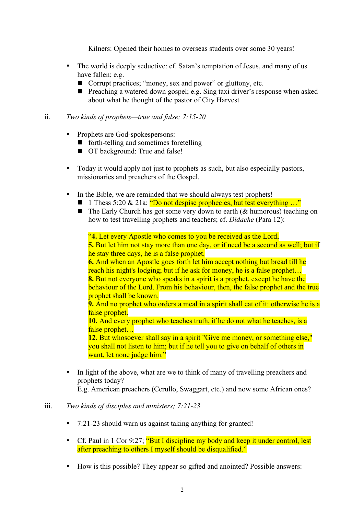Kilners: Opened their homes to overseas students over some 30 years!

- The world is deeply seductive: cf. Satan's temptation of Jesus, and many of us have fallen; e.g.
	- Corrupt practices; "money, sex and power" or gluttony, etc.
	- ! Preaching a watered down gospel; e.g. Sing taxi driver's response when asked about what he thought of the pastor of City Harvest

#### ii. *Two kinds of prophets—true and false; 7:15-20*

- Prophets are God-spokespersons:
	- forth-telling and sometimes foretelling
	- $\blacksquare$  OT background: True and false!
- Today it would apply not just to prophets as such, but also especially pastors, missionaries and preachers of the Gospel.
- In the Bible, we are reminded that we should always test prophets!
	- **1** 1 Thess 5:20 & 21a;  $\degree$  Do not despise prophecies, but test everything ..."
	- $\blacksquare$  The Early Church has got some very down to earth ( $\&$  humorous) teaching on how to test travelling prophets and teachers; cf. *Didache* (Para 12):

"**4.** Let every Apostle who comes to you be received as the Lord,

**5.** But let him not stay more than one day, or if need be a second as well; but if he stay three days, he is a false prophet.

**6.** And when an Apostle goes forth let him accept nothing but bread till he reach his night's lodging; but if he ask for money, he is a false prophet… **8.** But not everyone who speaks in a spirit is a prophet, except he have the behaviour of the Lord. From his behaviour, then, the false prophet and the true prophet shall be known.

**9.** And no prophet who orders a meal in a spirit shall eat of it: otherwise he is a false prophet.

**10.** And every prophet who teaches truth, if he do not what he teaches, is a false prophet…

**12.** But whosoever shall say in a spirit "Give me money, or something else," you shall not listen to him; but if he tell you to give on behalf of others in want, let none judge him."

In light of the above, what are we to think of many of travelling preachers and prophets today?

E.g. American preachers (Cerullo, Swaggart, etc.) and now some African ones?

## iii. *Two kinds of disciples and ministers; 7:21-23*

- 7:21-23 should warn us against taking anything for granted!
- Cf. Paul in 1 Cor 9:27; "But I discipline my body and keep it under control, lest after preaching to others I myself should be disqualified."
- How is this possible? They appear so gifted and anointed? Possible answers: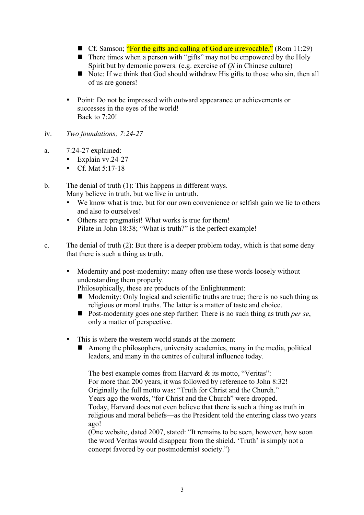- Cf. Samson; "For the gifts and calling of God are irrevocable." (Rom 11:29)
- $\blacksquare$  There times when a person with "gifts" may not be empowered by the Holy Spirit but by demonic powers. (e.g. exercise of *Qi* in Chinese culture)
- Note: If we think that God should withdraw His gifts to those who sin, then all of us are goners!
- Point: Do not be impressed with outward appearance or achievements or successes in the eyes of the world! Back to 7:20!
- iv. *Two foundations; 7:24-27*
- a. 7:24-27 explained:
	- Explain vv.24-27
	- Cf. Mat 5:17-18
- b. The denial of truth (1): This happens in different ways. Many believe in truth, but we live in untruth.
	- We know what is true, but for our own convenience or selfish gain we lie to others and also to ourselves!
	- Others are pragmatist! What works is true for them! Pilate in John 18:38; "What is truth?" is the perfect example!
- c. The denial of truth (2): But there is a deeper problem today, which is that some deny that there is such a thing as truth.
	- Modernity and post-modernity: many often use these words loosely without understanding them properly.

Philosophically, these are products of the Enlightenment:

- $\blacksquare$  Modernity: Only logical and scientific truths are true; there is no such thing as religious or moral truths. The latter is a matter of taste and choice.
- ! Post-modernity goes one step further: There is no such thing as truth *per se*, only a matter of perspective.
- This is where the western world stands at the moment
	- $\blacksquare$  Among the philosophers, university academics, many in the media, political leaders, and many in the centres of cultural influence today.

The best example comes from Harvard & its motto, "Veritas": For more than 200 years, it was followed by reference to John 8:32! Originally the full motto was: "Truth for Christ and the Church." Years ago the words, "for Christ and the Church" were dropped. Today, Harvard does not even believe that there is such a thing as truth in religious and moral beliefs—as the President told the entering class two years ago!

(One website, dated 2007, stated: "It remains to be seen, however, how soon the word Veritas would disappear from the shield. 'Truth' is simply not a concept favored by our postmodernist society.")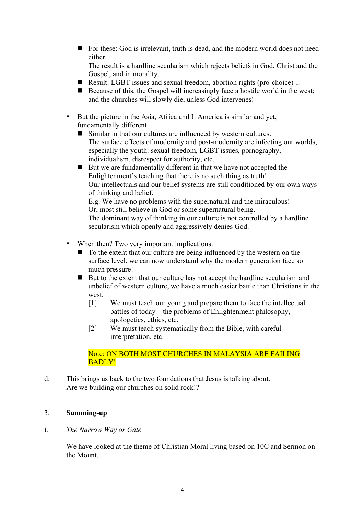! For these: God is irrelevant, truth is dead, and the modern world does not need either.

The result is a hardline secularism which rejects beliefs in God, Christ and the Gospel, and in morality.

- Result: LGBT issues and sexual freedom, abortion rights (pro-choice) ...
- $\blacksquare$  Because of this, the Gospel will increasingly face a hostile world in the west; and the churches will slowly die, unless God intervenes!
- But the picture in the Asia, Africa and L America is similar and yet, fundamentally different.
	- Similar in that our cultures are influenced by western cultures. The surface effects of modernity and post-modernity are infecting our worlds, especially the youth: sexual freedom, LGBT issues, pornography, individualism, disrespect for authority, etc.
	- But we are fundamentally different in that we have not accepted the Enlightenment's teaching that there is no such thing as truth! Our intellectuals and our belief systems are still conditioned by our own ways of thinking and belief. E.g. We have no problems with the supernatural and the miraculous!

Or, most still believe in God or some supernatural being. The dominant way of thinking in our culture is not controlled by a hardline

secularism which openly and aggressively denies God.

- When then? Two very important implications:
	- To the extent that our culture are being influenced by the western on the surface level, we can now understand why the modern generation face so much pressure!
	- $\blacksquare$  But to the extent that our culture has not accept the hardline secularism and unbelief of western culture, we have a much easier battle than Christians in the west.
		- [1] We must teach our young and prepare them to face the intellectual battles of today—the problems of Enlightenment philosophy, apologetics, ethics, etc.
		- [2] We must teach systematically from the Bible, with careful interpretation, etc.

## Note: ON BOTH MOST CHURCHES IN MALAYSIA ARE FAILING BADLY!

d. This brings us back to the two foundations that Jesus is talking about. Are we building our churches on solid rock!?

# 3. **Summing-up**

## i. *The Narrow Way or Gate*

We have looked at the theme of Christian Moral living based on 10C and Sermon on the Mount.